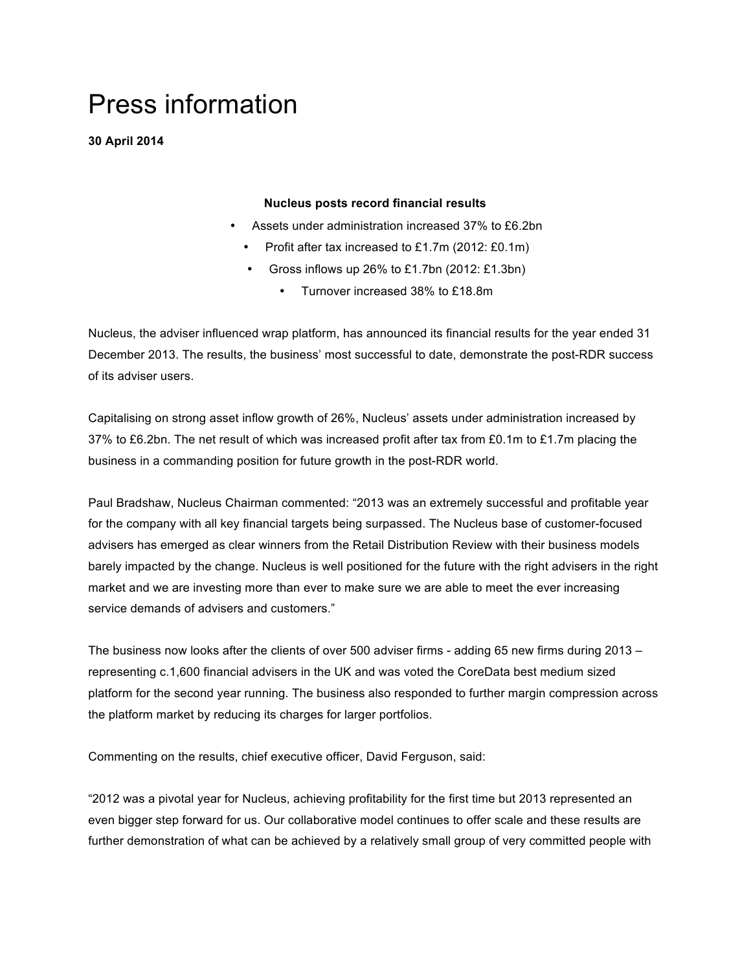# Press information

**30 April 2014**

## **Nucleus posts record financial results**

- Assets under administration increased 37% to £6.2bn
	- Profit after tax increased to £1.7m (2012: £0.1m)
	- Gross inflows up 26% to £1.7bn (2012: £1.3bn)
		- Turnover increased 38% to £18.8m

Nucleus, the adviser influenced wrap platform, has announced its financial results for the year ended 31 December 2013. The results, the business' most successful to date, demonstrate the post-RDR success of its adviser users.

Capitalising on strong asset inflow growth of 26%, Nucleus' assets under administration increased by 37% to £6.2bn. The net result of which was increased profit after tax from £0.1m to £1.7m placing the business in a commanding position for future growth in the post-RDR world.

Paul Bradshaw, Nucleus Chairman commented: "2013 was an extremely successful and profitable year for the company with all key financial targets being surpassed. The Nucleus base of customer-focused advisers has emerged as clear winners from the Retail Distribution Review with their business models barely impacted by the change. Nucleus is well positioned for the future with the right advisers in the right market and we are investing more than ever to make sure we are able to meet the ever increasing service demands of advisers and customers."

The business now looks after the clients of over 500 adviser firms - adding 65 new firms during 2013 – representing c.1,600 financial advisers in the UK and was voted the CoreData best medium sized platform for the second year running. The business also responded to further margin compression across the platform market by reducing its charges for larger portfolios.

Commenting on the results, chief executive officer, David Ferguson, said:

"2012 was a pivotal year for Nucleus, achieving profitability for the first time but 2013 represented an even bigger step forward for us. Our collaborative model continues to offer scale and these results are further demonstration of what can be achieved by a relatively small group of very committed people with